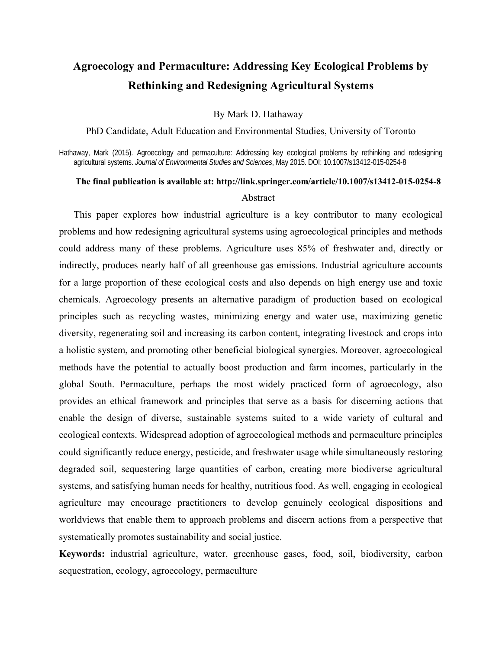# **Agroecology and Permaculture: Addressing Key Ecological Problems by Rethinking and Redesigning Agricultural Systems**

By Mark D. Hathaway

PhD Candidate, Adult Education and Environmental Studies, University of Toronto

Hathaway, Mark (2015). Agroecology and permaculture: Addressing key ecological problems by rethinking and redesigning agricultural systems. *Journal of Environmental Studies and Sciences*, May 2015. DOI: 10.1007/s13412-015-0254-8

## **The final publication is available at: http://link.springer.com/article/10.1007/s13412-015-0254-8**  Abstract

This paper explores how industrial agriculture is a key contributor to many ecological problems and how redesigning agricultural systems using agroecological principles and methods could address many of these problems. Agriculture uses 85% of freshwater and, directly or indirectly, produces nearly half of all greenhouse gas emissions. Industrial agriculture accounts for a large proportion of these ecological costs and also depends on high energy use and toxic chemicals. Agroecology presents an alternative paradigm of production based on ecological principles such as recycling wastes, minimizing energy and water use, maximizing genetic diversity, regenerating soil and increasing its carbon content, integrating livestock and crops into a holistic system, and promoting other beneficial biological synergies. Moreover, agroecological methods have the potential to actually boost production and farm incomes, particularly in the global South. Permaculture, perhaps the most widely practiced form of agroecology, also provides an ethical framework and principles that serve as a basis for discerning actions that enable the design of diverse, sustainable systems suited to a wide variety of cultural and ecological contexts. Widespread adoption of agroecological methods and permaculture principles could significantly reduce energy, pesticide, and freshwater usage while simultaneously restoring degraded soil, sequestering large quantities of carbon, creating more biodiverse agricultural systems, and satisfying human needs for healthy, nutritious food. As well, engaging in ecological agriculture may encourage practitioners to develop genuinely ecological dispositions and worldviews that enable them to approach problems and discern actions from a perspective that systematically promotes sustainability and social justice.

**Keywords:** industrial agriculture, water, greenhouse gases, food, soil, biodiversity, carbon sequestration, ecology, agroecology, permaculture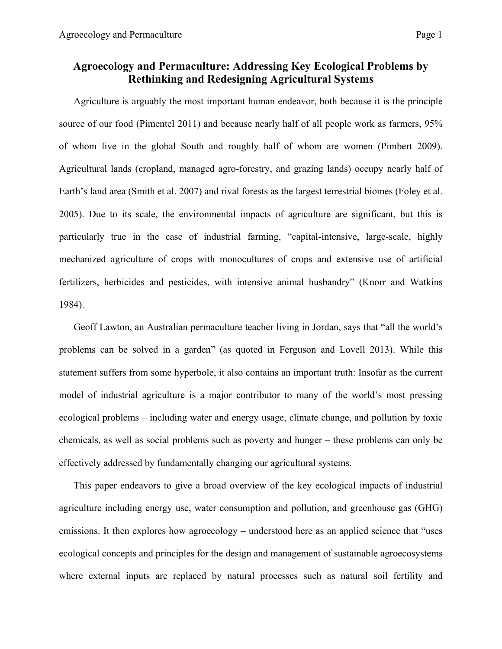## **Agroecology and Permaculture: Addressing Key Ecological Problems by Rethinking and Redesigning Agricultural Systems**

Agriculture is arguably the most important human endeavor, both because it is the principle source of our food (Pimentel 2011) and because nearly half of all people work as farmers, 95% of whom live in the global South and roughly half of whom are women (Pimbert 2009). Agricultural lands (cropland, managed agro-forestry, and grazing lands) occupy nearly half of Earth's land area (Smith et al. 2007) and rival forests as the largest terrestrial biomes (Foley et al. 2005). Due to its scale, the environmental impacts of agriculture are significant, but this is particularly true in the case of industrial farming, "capital-intensive, large-scale, highly mechanized agriculture of crops with monocultures of crops and extensive use of artificial fertilizers, herbicides and pesticides, with intensive animal husbandry" (Knorr and Watkins 1984).

Geoff Lawton, an Australian permaculture teacher living in Jordan, says that "all the world's problems can be solved in a garden" (as quoted in Ferguson and Lovell 2013). While this statement suffers from some hyperbole, it also contains an important truth: Insofar as the current model of industrial agriculture is a major contributor to many of the world's most pressing ecological problems – including water and energy usage, climate change, and pollution by toxic chemicals, as well as social problems such as poverty and hunger – these problems can only be effectively addressed by fundamentally changing our agricultural systems.

This paper endeavors to give a broad overview of the key ecological impacts of industrial agriculture including energy use, water consumption and pollution, and greenhouse gas (GHG) emissions. It then explores how agroecology – understood here as an applied science that "uses ecological concepts and principles for the design and management of sustainable agroecosystems where external inputs are replaced by natural processes such as natural soil fertility and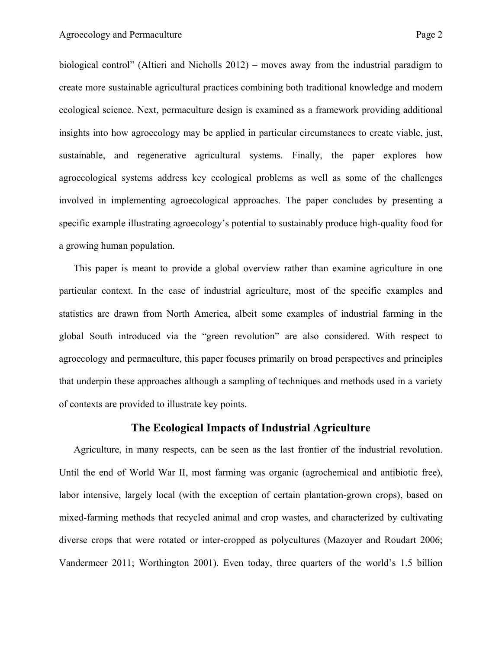biological control" (Altieri and Nicholls 2012) – moves away from the industrial paradigm to create more sustainable agricultural practices combining both traditional knowledge and modern ecological science. Next, permaculture design is examined as a framework providing additional insights into how agroecology may be applied in particular circumstances to create viable, just, sustainable, and regenerative agricultural systems. Finally, the paper explores how agroecological systems address key ecological problems as well as some of the challenges involved in implementing agroecological approaches. The paper concludes by presenting a specific example illustrating agroecology's potential to sustainably produce high-quality food for a growing human population.

This paper is meant to provide a global overview rather than examine agriculture in one particular context. In the case of industrial agriculture, most of the specific examples and statistics are drawn from North America, albeit some examples of industrial farming in the global South introduced via the "green revolution" are also considered. With respect to agroecology and permaculture, this paper focuses primarily on broad perspectives and principles that underpin these approaches although a sampling of techniques and methods used in a variety of contexts are provided to illustrate key points.

### **The Ecological Impacts of Industrial Agriculture**

Agriculture, in many respects, can be seen as the last frontier of the industrial revolution. Until the end of World War II, most farming was organic (agrochemical and antibiotic free), labor intensive, largely local (with the exception of certain plantation-grown crops), based on mixed-farming methods that recycled animal and crop wastes, and characterized by cultivating diverse crops that were rotated or inter-cropped as polycultures (Mazoyer and Roudart 2006; Vandermeer 2011; Worthington 2001). Even today, three quarters of the world's 1.5 billion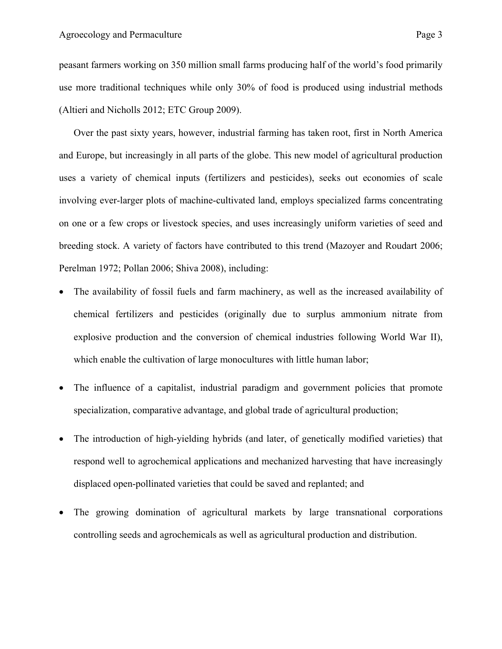peasant farmers working on 350 million small farms producing half of the world's food primarily use more traditional techniques while only 30% of food is produced using industrial methods (Altieri and Nicholls 2012; ETC Group 2009).

Over the past sixty years, however, industrial farming has taken root, first in North America and Europe, but increasingly in all parts of the globe. This new model of agricultural production uses a variety of chemical inputs (fertilizers and pesticides), seeks out economies of scale involving ever-larger plots of machine-cultivated land, employs specialized farms concentrating on one or a few crops or livestock species, and uses increasingly uniform varieties of seed and breeding stock. A variety of factors have contributed to this trend (Mazoyer and Roudart 2006; Perelman 1972; Pollan 2006; Shiva 2008), including:

- The availability of fossil fuels and farm machinery, as well as the increased availability of chemical fertilizers and pesticides (originally due to surplus ammonium nitrate from explosive production and the conversion of chemical industries following World War II), which enable the cultivation of large monocultures with little human labor;
- The influence of a capitalist, industrial paradigm and government policies that promote specialization, comparative advantage, and global trade of agricultural production;
- The introduction of high-yielding hybrids (and later, of genetically modified varieties) that respond well to agrochemical applications and mechanized harvesting that have increasingly displaced open-pollinated varieties that could be saved and replanted; and
- The growing domination of agricultural markets by large transnational corporations controlling seeds and agrochemicals as well as agricultural production and distribution.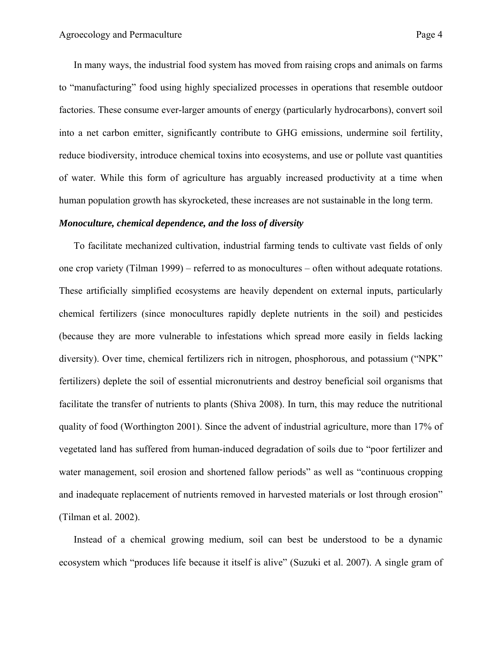In many ways, the industrial food system has moved from raising crops and animals on farms to "manufacturing" food using highly specialized processes in operations that resemble outdoor factories. These consume ever-larger amounts of energy (particularly hydrocarbons), convert soil into a net carbon emitter, significantly contribute to GHG emissions, undermine soil fertility, reduce biodiversity, introduce chemical toxins into ecosystems, and use or pollute vast quantities of water. While this form of agriculture has arguably increased productivity at a time when human population growth has skyrocketed, these increases are not sustainable in the long term.

#### *Monoculture, chemical dependence, and the loss of diversity*

To facilitate mechanized cultivation, industrial farming tends to cultivate vast fields of only one crop variety (Tilman 1999) – referred to as monocultures – often without adequate rotations. These artificially simplified ecosystems are heavily dependent on external inputs, particularly chemical fertilizers (since monocultures rapidly deplete nutrients in the soil) and pesticides (because they are more vulnerable to infestations which spread more easily in fields lacking diversity). Over time, chemical fertilizers rich in nitrogen, phosphorous, and potassium ("NPK" fertilizers) deplete the soil of essential micronutrients and destroy beneficial soil organisms that facilitate the transfer of nutrients to plants (Shiva 2008). In turn, this may reduce the nutritional quality of food (Worthington 2001). Since the advent of industrial agriculture, more than 17% of vegetated land has suffered from human-induced degradation of soils due to "poor fertilizer and water management, soil erosion and shortened fallow periods" as well as "continuous cropping and inadequate replacement of nutrients removed in harvested materials or lost through erosion" (Tilman et al. 2002).

Instead of a chemical growing medium, soil can best be understood to be a dynamic ecosystem which "produces life because it itself is alive" (Suzuki et al. 2007). A single gram of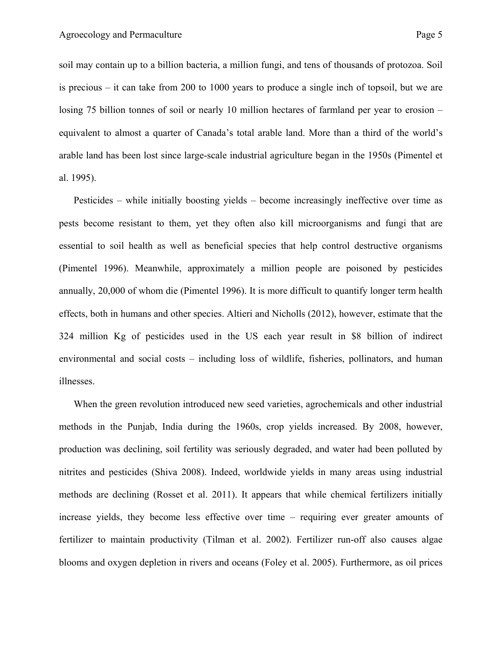soil may contain up to a billion bacteria, a million fungi, and tens of thousands of protozoa. Soil is precious – it can take from 200 to 1000 years to produce a single inch of topsoil, but we are losing 75 billion tonnes of soil or nearly 10 million hectares of farmland per year to erosion – equivalent to almost a quarter of Canada's total arable land. More than a third of the world's arable land has been lost since large-scale industrial agriculture began in the 1950s (Pimentel et al. 1995).

Pesticides – while initially boosting yields – become increasingly ineffective over time as pests become resistant to them, yet they often also kill microorganisms and fungi that are essential to soil health as well as beneficial species that help control destructive organisms (Pimentel 1996). Meanwhile, approximately a million people are poisoned by pesticides annually, 20,000 of whom die (Pimentel 1996). It is more difficult to quantify longer term health effects, both in humans and other species. Altieri and Nicholls (2012), however, estimate that the 324 million Kg of pesticides used in the US each year result in \$8 billion of indirect environmental and social costs – including loss of wildlife, fisheries, pollinators, and human illnesses.

When the green revolution introduced new seed varieties, agrochemicals and other industrial methods in the Punjab, India during the 1960s, crop yields increased. By 2008, however, production was declining, soil fertility was seriously degraded, and water had been polluted by nitrites and pesticides (Shiva 2008). Indeed, worldwide yields in many areas using industrial methods are declining (Rosset et al. 2011). It appears that while chemical fertilizers initially increase yields, they become less effective over time – requiring ever greater amounts of fertilizer to maintain productivity (Tilman et al. 2002). Fertilizer run-off also causes algae blooms and oxygen depletion in rivers and oceans (Foley et al. 2005). Furthermore, as oil prices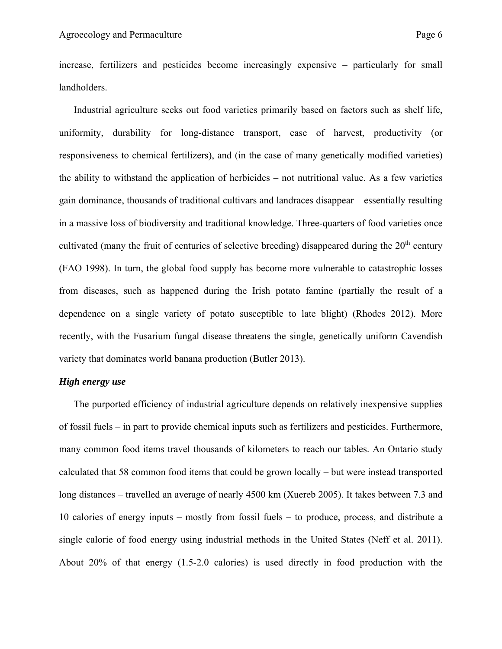increase, fertilizers and pesticides become increasingly expensive – particularly for small landholders.

Industrial agriculture seeks out food varieties primarily based on factors such as shelf life, uniformity, durability for long-distance transport, ease of harvest, productivity (or responsiveness to chemical fertilizers), and (in the case of many genetically modified varieties) the ability to withstand the application of herbicides – not nutritional value. As a few varieties gain dominance, thousands of traditional cultivars and landraces disappear – essentially resulting in a massive loss of biodiversity and traditional knowledge. Three-quarters of food varieties once cultivated (many the fruit of centuries of selective breeding) disappeared during the 20<sup>th</sup> century (FAO 1998). In turn, the global food supply has become more vulnerable to catastrophic losses from diseases, such as happened during the Irish potato famine (partially the result of a dependence on a single variety of potato susceptible to late blight) (Rhodes 2012). More recently, with the Fusarium fungal disease threatens the single, genetically uniform Cavendish variety that dominates world banana production (Butler 2013).

#### *High energy use*

The purported efficiency of industrial agriculture depends on relatively inexpensive supplies of fossil fuels – in part to provide chemical inputs such as fertilizers and pesticides. Furthermore, many common food items travel thousands of kilometers to reach our tables. An Ontario study calculated that 58 common food items that could be grown locally – but were instead transported long distances – travelled an average of nearly 4500 km (Xuereb 2005). It takes between 7.3 and 10 calories of energy inputs – mostly from fossil fuels – to produce, process, and distribute a single calorie of food energy using industrial methods in the United States (Neff et al. 2011). About 20% of that energy (1.5-2.0 calories) is used directly in food production with the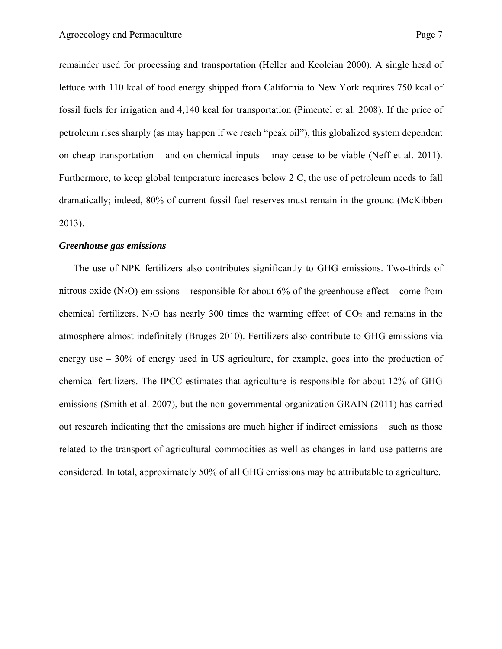remainder used for processing and transportation (Heller and Keoleian 2000). A single head of lettuce with 110 kcal of food energy shipped from California to New York requires 750 kcal of fossil fuels for irrigation and 4,140 kcal for transportation (Pimentel et al. 2008). If the price of petroleum rises sharply (as may happen if we reach "peak oil"), this globalized system dependent on cheap transportation – and on chemical inputs – may cease to be viable (Neff et al. 2011). Furthermore, to keep global temperature increases below 2 C, the use of petroleum needs to fall dramatically; indeed, 80% of current fossil fuel reserves must remain in the ground (McKibben 2013).

#### *Greenhouse gas emissions*

The use of NPK fertilizers also contributes significantly to GHG emissions. Two-thirds of nitrous oxide  $(N_2O)$  emissions – responsible for about 6% of the greenhouse effect – come from chemical fertilizers. N<sub>2</sub>O has nearly 300 times the warming effect of  $CO<sub>2</sub>$  and remains in the atmosphere almost indefinitely (Bruges 2010). Fertilizers also contribute to GHG emissions via energy use – 30% of energy used in US agriculture, for example, goes into the production of chemical fertilizers. The IPCC estimates that agriculture is responsible for about 12% of GHG emissions (Smith et al. 2007), but the non-governmental organization GRAIN (2011) has carried out research indicating that the emissions are much higher if indirect emissions – such as those related to the transport of agricultural commodities as well as changes in land use patterns are considered. In total, approximately 50% of all GHG emissions may be attributable to agriculture.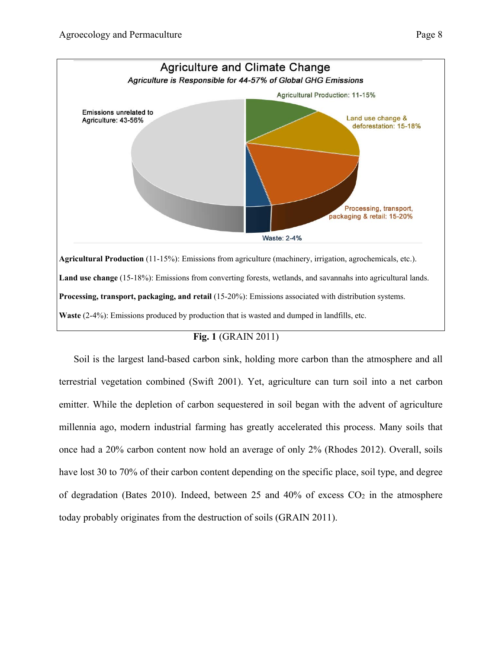

## **Fig. 1** (GRAIN 2011)

Soil is the largest land-based carbon sink, holding more carbon than the atmosphere and all terrestrial vegetation combined (Swift 2001). Yet, agriculture can turn soil into a net carbon emitter. While the depletion of carbon sequestered in soil began with the advent of agriculture millennia ago, modern industrial farming has greatly accelerated this process. Many soils that once had a 20% carbon content now hold an average of only 2% (Rhodes 2012). Overall, soils have lost 30 to 70% of their carbon content depending on the specific place, soil type, and degree of degradation (Bates 2010). Indeed, between 25 and 40% of excess  $CO<sub>2</sub>$  in the atmosphere today probably originates from the destruction of soils (GRAIN 2011).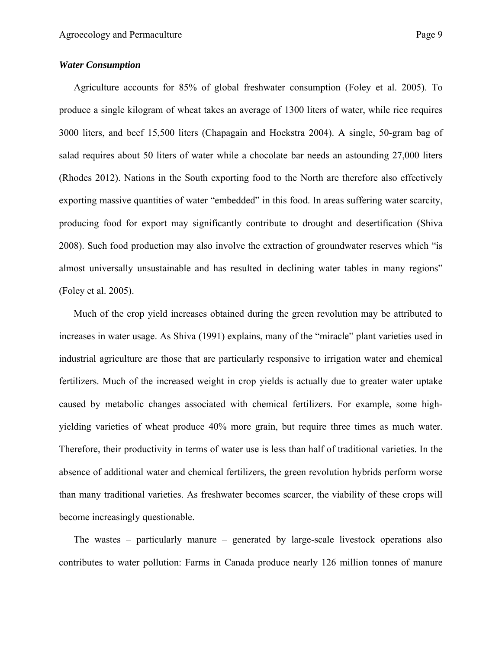Agriculture accounts for 85% of global freshwater consumption (Foley et al. 2005). To produce a single kilogram of wheat takes an average of 1300 liters of water, while rice requires 3000 liters, and beef 15,500 liters (Chapagain and Hoekstra 2004). A single, 50-gram bag of salad requires about 50 liters of water while a chocolate bar needs an astounding 27,000 liters (Rhodes 2012). Nations in the South exporting food to the North are therefore also effectively exporting massive quantities of water "embedded" in this food. In areas suffering water scarcity, producing food for export may significantly contribute to drought and desertification (Shiva 2008). Such food production may also involve the extraction of groundwater reserves which "is almost universally unsustainable and has resulted in declining water tables in many regions" (Foley et al. 2005).

Much of the crop yield increases obtained during the green revolution may be attributed to increases in water usage. As Shiva (1991) explains, many of the "miracle" plant varieties used in industrial agriculture are those that are particularly responsive to irrigation water and chemical fertilizers. Much of the increased weight in crop yields is actually due to greater water uptake caused by metabolic changes associated with chemical fertilizers. For example, some highyielding varieties of wheat produce 40% more grain, but require three times as much water. Therefore, their productivity in terms of water use is less than half of traditional varieties. In the absence of additional water and chemical fertilizers, the green revolution hybrids perform worse than many traditional varieties. As freshwater becomes scarcer, the viability of these crops will become increasingly questionable.

The wastes – particularly manure – generated by large-scale livestock operations also contributes to water pollution: Farms in Canada produce nearly 126 million tonnes of manure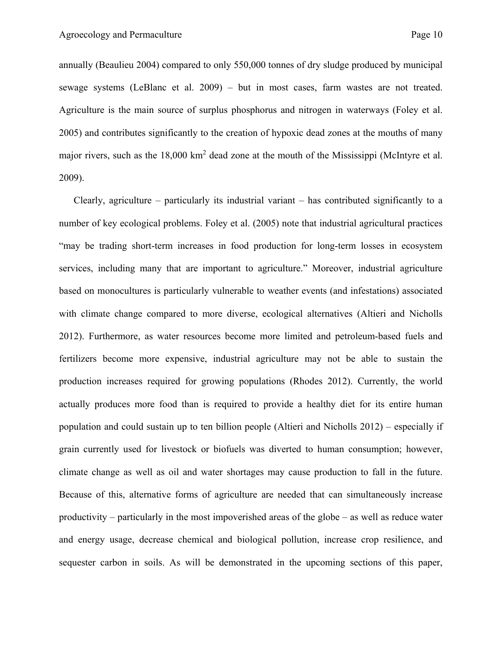annually (Beaulieu 2004) compared to only 550,000 tonnes of dry sludge produced by municipal sewage systems (LeBlanc et al. 2009) – but in most cases, farm wastes are not treated. Agriculture is the main source of surplus phosphorus and nitrogen in waterways (Foley et al. 2005) and contributes significantly to the creation of hypoxic dead zones at the mouths of many major rivers, such as the 18,000 km<sup>2</sup> dead zone at the mouth of the Mississippi (McIntyre et al. 2009).

Clearly, agriculture – particularly its industrial variant – has contributed significantly to a number of key ecological problems. Foley et al. (2005) note that industrial agricultural practices "may be trading short-term increases in food production for long-term losses in ecosystem services, including many that are important to agriculture." Moreover, industrial agriculture based on monocultures is particularly vulnerable to weather events (and infestations) associated with climate change compared to more diverse, ecological alternatives (Altieri and Nicholls 2012). Furthermore, as water resources become more limited and petroleum-based fuels and fertilizers become more expensive, industrial agriculture may not be able to sustain the production increases required for growing populations (Rhodes 2012). Currently, the world actually produces more food than is required to provide a healthy diet for its entire human population and could sustain up to ten billion people (Altieri and Nicholls 2012) – especially if grain currently used for livestock or biofuels was diverted to human consumption; however, climate change as well as oil and water shortages may cause production to fall in the future. Because of this, alternative forms of agriculture are needed that can simultaneously increase productivity – particularly in the most impoverished areas of the globe – as well as reduce water and energy usage, decrease chemical and biological pollution, increase crop resilience, and sequester carbon in soils. As will be demonstrated in the upcoming sections of this paper,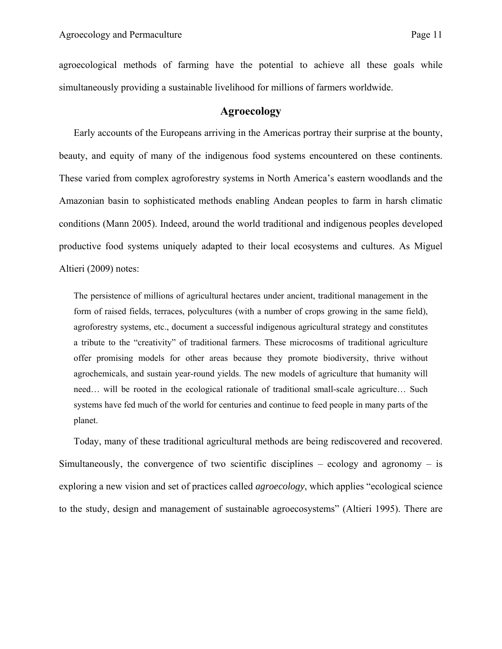agroecological methods of farming have the potential to achieve all these goals while simultaneously providing a sustainable livelihood for millions of farmers worldwide.

## **Agroecology**

Early accounts of the Europeans arriving in the Americas portray their surprise at the bounty, beauty, and equity of many of the indigenous food systems encountered on these continents. These varied from complex agroforestry systems in North America's eastern woodlands and the Amazonian basin to sophisticated methods enabling Andean peoples to farm in harsh climatic conditions (Mann 2005). Indeed, around the world traditional and indigenous peoples developed productive food systems uniquely adapted to their local ecosystems and cultures. As Miguel Altieri (2009) notes:

The persistence of millions of agricultural hectares under ancient, traditional management in the form of raised fields, terraces, polycultures (with a number of crops growing in the same field), agroforestry systems, etc., document a successful indigenous agricultural strategy and constitutes a tribute to the "creativity" of traditional farmers. These microcosms of traditional agriculture offer promising models for other areas because they promote biodiversity, thrive without agrochemicals, and sustain year-round yields. The new models of agriculture that humanity will need… will be rooted in the ecological rationale of traditional small-scale agriculture… Such systems have fed much of the world for centuries and continue to feed people in many parts of the planet.

Today, many of these traditional agricultural methods are being rediscovered and recovered. Simultaneously, the convergence of two scientific disciplines – ecology and agronomy – is exploring a new vision and set of practices called *agroecology*, which applies "ecological science to the study, design and management of sustainable agroecosystems" (Altieri 1995). There are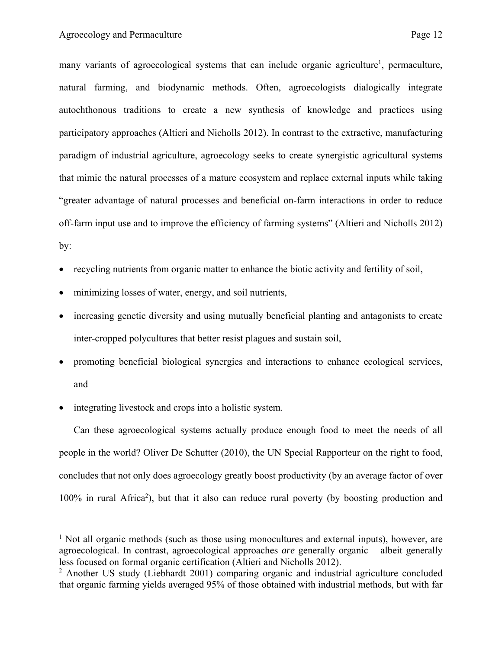many variants of agroecological systems that can include organic agriculture<sup>1</sup>, permaculture, natural farming, and biodynamic methods. Often, agroecologists dialogically integrate autochthonous traditions to create a new synthesis of knowledge and practices using participatory approaches (Altieri and Nicholls 2012). In contrast to the extractive, manufacturing paradigm of industrial agriculture, agroecology seeks to create synergistic agricultural systems that mimic the natural processes of a mature ecosystem and replace external inputs while taking "greater advantage of natural processes and beneficial on-farm interactions in order to reduce off-farm input use and to improve the efficiency of farming systems" (Altieri and Nicholls 2012) by:

- recycling nutrients from organic matter to enhance the biotic activity and fertility of soil,
- minimizing losses of water, energy, and soil nutrients,
- increasing genetic diversity and using mutually beneficial planting and antagonists to create inter-cropped polycultures that better resist plagues and sustain soil,
- promoting beneficial biological synergies and interactions to enhance ecological services, and
- integrating livestock and crops into a holistic system.

Can these agroecological systems actually produce enough food to meet the needs of all people in the world? Oliver De Schutter (2010), the UN Special Rapporteur on the right to food, concludes that not only does agroecology greatly boost productivity (by an average factor of over 100% in rural Africa<sup>2</sup>), but that it also can reduce rural poverty (by boosting production and

<sup>&</sup>lt;sup>1</sup> Not all organic methods (such as those using monocultures and external inputs), however, are agroecological. In contrast, agroecological approaches *are* generally organic – albeit generally less focused on formal organic certification (Altieri and Nicholls 2012).

<sup>&</sup>lt;sup>2</sup> Another US study (Liebhardt 2001) comparing organic and industrial agriculture concluded that organic farming yields averaged 95% of those obtained with industrial methods, but with far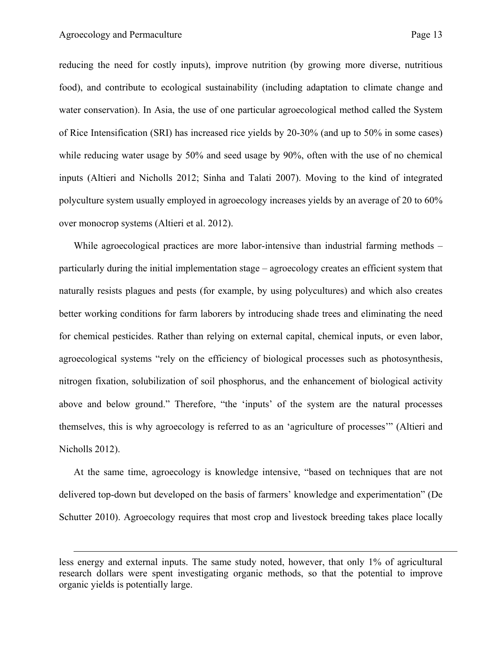$\overline{a}$ 

reducing the need for costly inputs), improve nutrition (by growing more diverse, nutritious food), and contribute to ecological sustainability (including adaptation to climate change and water conservation). In Asia, the use of one particular agroecological method called the System of Rice Intensification (SRI) has increased rice yields by 20-30% (and up to 50% in some cases) while reducing water usage by 50% and seed usage by 90%, often with the use of no chemical inputs (Altieri and Nicholls 2012; Sinha and Talati 2007). Moving to the kind of integrated polyculture system usually employed in agroecology increases yields by an average of 20 to 60% over monocrop systems (Altieri et al. 2012).

While agroecological practices are more labor-intensive than industrial farming methods – particularly during the initial implementation stage – agroecology creates an efficient system that naturally resists plagues and pests (for example, by using polycultures) and which also creates better working conditions for farm laborers by introducing shade trees and eliminating the need for chemical pesticides. Rather than relying on external capital, chemical inputs, or even labor, agroecological systems "rely on the efficiency of biological processes such as photosynthesis, nitrogen fixation, solubilization of soil phosphorus, and the enhancement of biological activity above and below ground." Therefore, "the 'inputs' of the system are the natural processes themselves, this is why agroecology is referred to as an 'agriculture of processes'" (Altieri and Nicholls 2012).

At the same time, agroecology is knowledge intensive, "based on techniques that are not delivered top-down but developed on the basis of farmers' knowledge and experimentation" (De Schutter 2010). Agroecology requires that most crop and livestock breeding takes place locally

less energy and external inputs. The same study noted, however, that only 1% of agricultural research dollars were spent investigating organic methods, so that the potential to improve organic yields is potentially large.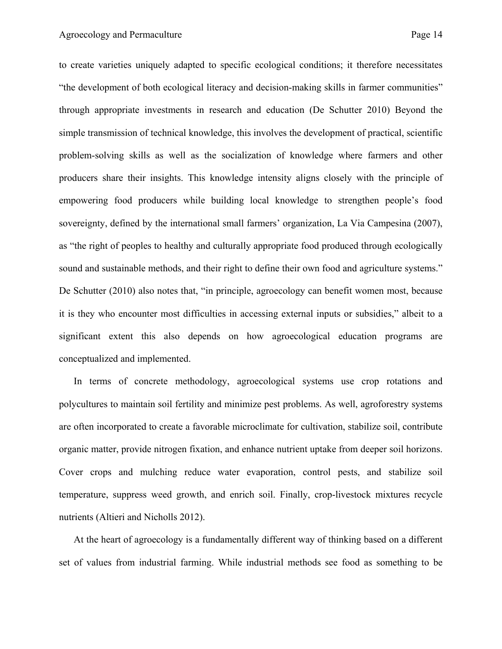to create varieties uniquely adapted to specific ecological conditions; it therefore necessitates "the development of both ecological literacy and decision-making skills in farmer communities" through appropriate investments in research and education (De Schutter 2010) Beyond the simple transmission of technical knowledge, this involves the development of practical, scientific problem-solving skills as well as the socialization of knowledge where farmers and other producers share their insights. This knowledge intensity aligns closely with the principle of empowering food producers while building local knowledge to strengthen people's food sovereignty, defined by the international small farmers' organization, La Via Campesina (2007), as "the right of peoples to healthy and culturally appropriate food produced through ecologically sound and sustainable methods, and their right to define their own food and agriculture systems." De Schutter (2010) also notes that, "in principle, agroecology can benefit women most, because it is they who encounter most difficulties in accessing external inputs or subsidies," albeit to a significant extent this also depends on how agroecological education programs are conceptualized and implemented.

In terms of concrete methodology, agroecological systems use crop rotations and polycultures to maintain soil fertility and minimize pest problems. As well, agroforestry systems are often incorporated to create a favorable microclimate for cultivation, stabilize soil, contribute organic matter, provide nitrogen fixation, and enhance nutrient uptake from deeper soil horizons. Cover crops and mulching reduce water evaporation, control pests, and stabilize soil temperature, suppress weed growth, and enrich soil. Finally, crop-livestock mixtures recycle nutrients (Altieri and Nicholls 2012).

At the heart of agroecology is a fundamentally different way of thinking based on a different set of values from industrial farming. While industrial methods see food as something to be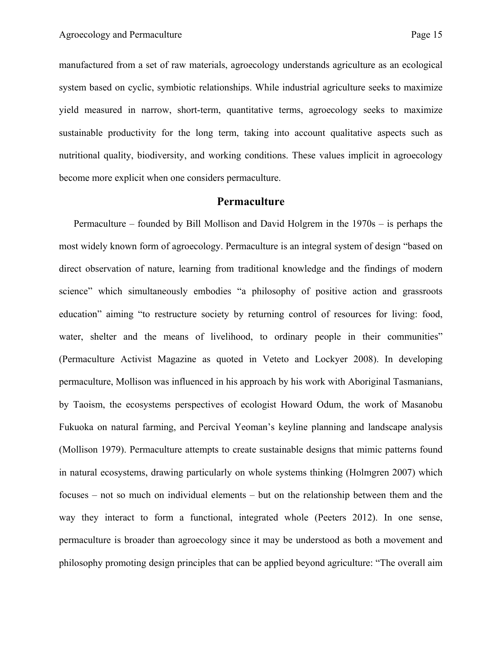manufactured from a set of raw materials, agroecology understands agriculture as an ecological system based on cyclic, symbiotic relationships. While industrial agriculture seeks to maximize yield measured in narrow, short-term, quantitative terms, agroecology seeks to maximize sustainable productivity for the long term, taking into account qualitative aspects such as nutritional quality, biodiversity, and working conditions. These values implicit in agroecology become more explicit when one considers permaculture.

## **Permaculture**

Permaculture – founded by Bill Mollison and David Holgrem in the 1970s – is perhaps the most widely known form of agroecology. Permaculture is an integral system of design "based on direct observation of nature, learning from traditional knowledge and the findings of modern science" which simultaneously embodies "a philosophy of positive action and grassroots education" aiming "to restructure society by returning control of resources for living: food, water, shelter and the means of livelihood, to ordinary people in their communities" (Permaculture Activist Magazine as quoted in Veteto and Lockyer 2008). In developing permaculture, Mollison was influenced in his approach by his work with Aboriginal Tasmanians, by Taoism, the ecosystems perspectives of ecologist Howard Odum, the work of Masanobu Fukuoka on natural farming, and Percival Yeoman's keyline planning and landscape analysis (Mollison 1979). Permaculture attempts to create sustainable designs that mimic patterns found in natural ecosystems, drawing particularly on whole systems thinking (Holmgren 2007) which focuses – not so much on individual elements – but on the relationship between them and the way they interact to form a functional, integrated whole (Peeters 2012). In one sense, permaculture is broader than agroecology since it may be understood as both a movement and philosophy promoting design principles that can be applied beyond agriculture: "The overall aim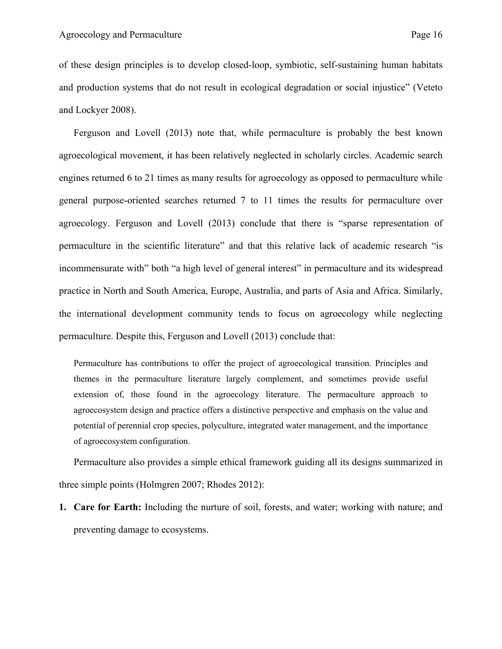of these design principles is to develop closed-loop, symbiotic, self-sustaining human habitats and production systems that do not result in ecological degradation or social injustice" (Veteto and Lockyer 2008).

Ferguson and Lovell (2013) note that, while permaculture is probably the best known agroecological movement, it has been relatively neglected in scholarly circles. Academic search engines returned 6 to 21 times as many results for agroecology as opposed to permaculture while general purpose-oriented searches returned 7 to 11 times the results for permaculture over agroecology. Ferguson and Lovell (2013) conclude that there is "sparse representation of permaculture in the scientific literature" and that this relative lack of academic research "is incommensurate with" both "a high level of general interest" in permaculture and its widespread practice in North and South America, Europe, Australia, and parts of Asia and Africa. Similarly, the international development community tends to focus on agroecology while neglecting permaculture. Despite this, Ferguson and Lovell (2013) conclude that:

Permaculture has contributions to offer the project of agroecological transition. Principles and themes in the permaculture literature largely complement, and sometimes provide useful extension of, those found in the agroecology literature. The permaculture approach to agroecosystem design and practice offers a distinctive perspective and emphasis on the value and potential of perennial crop species, polyculture, integrated water management, and the importance of agroecosystem configuration.

Permaculture also provides a simple ethical framework guiding all its designs summarized in three simple points (Holmgren 2007; Rhodes 2012):

**1. Care for Earth:** Including the nurture of soil, forests, and water; working with nature; and preventing damage to ecosystems.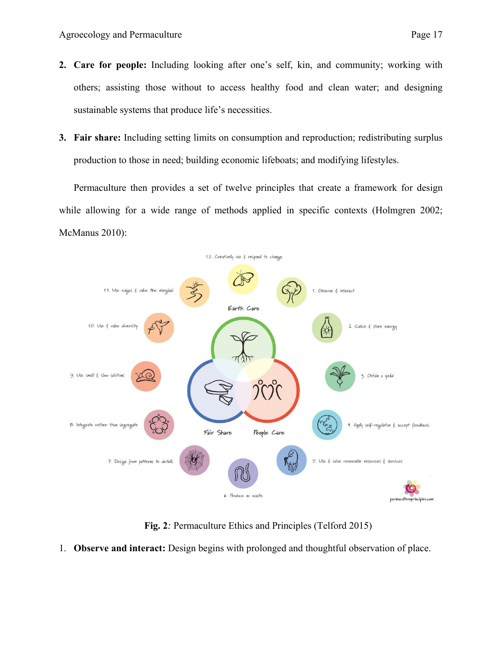- **2. Care for people:** Including looking after one's self, kin, and community; working with others; assisting those without to access healthy food and clean water; and designing sustainable systems that produce life's necessities.
- **3. Fair share:** Including setting limits on consumption and reproduction; redistributing surplus production to those in need; building economic lifeboats; and modifying lifestyles.

Permaculture then provides a set of twelve principles that create a framework for design while allowing for a wide range of methods applied in specific contexts (Holmgren 2002; McManus 2010):



**Fig. 2***:* Permaculture Ethics and Principles (Telford 2015)

1. **Observe and interact:** Design begins with prolonged and thoughtful observation of place.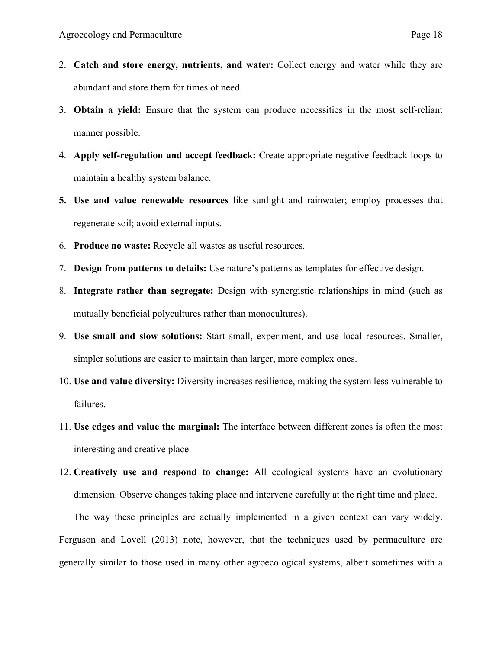- 2. **Catch and store energy, nutrients, and water:** Collect energy and water while they are abundant and store them for times of need.
- 3. **Obtain a yield:** Ensure that the system can produce necessities in the most self-reliant manner possible.
- 4. **Apply self-regulation and accept feedback:** Create appropriate negative feedback loops to maintain a healthy system balance.
- **5. Use and value renewable resources** like sunlight and rainwater; employ processes that regenerate soil; avoid external inputs.
- 6. **Produce no waste:** Recycle all wastes as useful resources.
- 7. **Design from patterns to details:** Use nature's patterns as templates for effective design.
- 8. **Integrate rather than segregate:** Design with synergistic relationships in mind (such as mutually beneficial polycultures rather than monocultures).
- 9. **Use small and slow solutions:** Start small, experiment, and use local resources. Smaller, simpler solutions are easier to maintain than larger, more complex ones.
- 10. **Use and value diversity:** Diversity increases resilience, making the system less vulnerable to failures.
- 11. **Use edges and value the marginal:** The interface between different zones is often the most interesting and creative place.
- 12. **Creatively use and respond to change:** All ecological systems have an evolutionary dimension. Observe changes taking place and intervene carefully at the right time and place.

The way these principles are actually implemented in a given context can vary widely. Ferguson and Lovell (2013) note, however, that the techniques used by permaculture are generally similar to those used in many other agroecological systems, albeit sometimes with a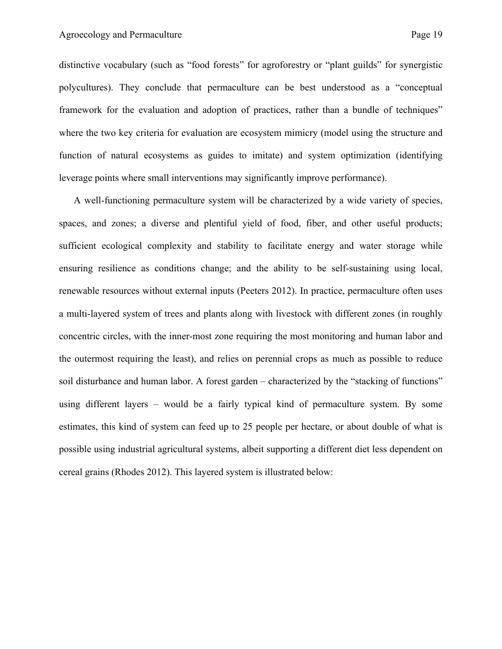distinctive vocabulary (such as "food forests" for agroforestry or "plant guilds" for synergistic polycultures). They conclude that permaculture can be best understood as a "conceptual framework for the evaluation and adoption of practices, rather than a bundle of techniques" where the two key criteria for evaluation are ecosystem mimicry (model using the structure and function of natural ecosystems as guides to imitate) and system optimization (identifying leverage points where small interventions may significantly improve performance).

A well-functioning permaculture system will be characterized by a wide variety of species, spaces, and zones; a diverse and plentiful yield of food, fiber, and other useful products; sufficient ecological complexity and stability to facilitate energy and water storage while ensuring resilience as conditions change; and the ability to be self-sustaining using local, renewable resources without external inputs (Peeters 2012). In practice, permaculture often uses a multi-layered system of trees and plants along with livestock with different zones (in roughly concentric circles, with the inner-most zone requiring the most monitoring and human labor and the outermost requiring the least), and relies on perennial crops as much as possible to reduce soil disturbance and human labor. A forest garden – characterized by the "stacking of functions" using different layers – would be a fairly typical kind of permaculture system. By some estimates, this kind of system can feed up to 25 people per hectare, or about double of what is possible using industrial agricultural systems, albeit supporting a different diet less dependent on cereal grains (Rhodes 2012). This layered system is illustrated below: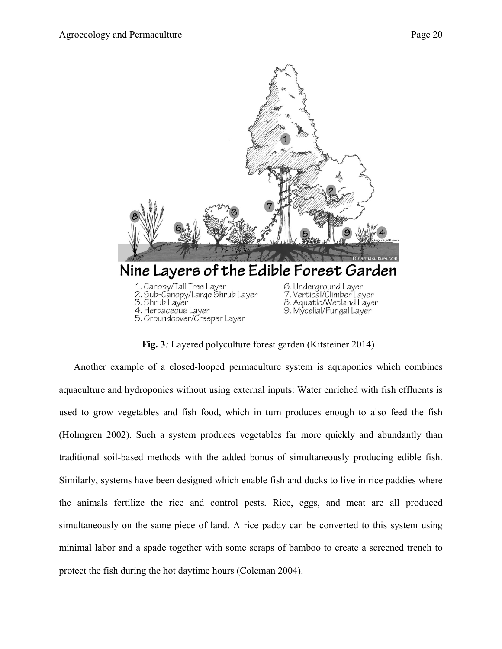

**Fig. 3***:* Layered polyculture forest garden (Kitsteiner 2014)

Another example of a closed-looped permaculture system is aquaponics which combines aquaculture and hydroponics without using external inputs: Water enriched with fish effluents is used to grow vegetables and fish food, which in turn produces enough to also feed the fish (Holmgren 2002). Such a system produces vegetables far more quickly and abundantly than traditional soil-based methods with the added bonus of simultaneously producing edible fish. Similarly, systems have been designed which enable fish and ducks to live in rice paddies where the animals fertilize the rice and control pests. Rice, eggs, and meat are all produced simultaneously on the same piece of land. A rice paddy can be converted to this system using minimal labor and a spade together with some scraps of bamboo to create a screened trench to protect the fish during the hot daytime hours (Coleman 2004).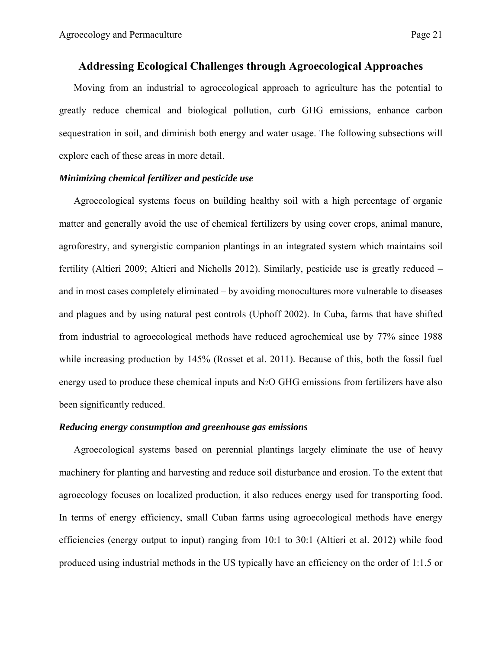## **Addressing Ecological Challenges through Agroecological Approaches**

Moving from an industrial to agroecological approach to agriculture has the potential to greatly reduce chemical and biological pollution, curb GHG emissions, enhance carbon sequestration in soil, and diminish both energy and water usage. The following subsections will explore each of these areas in more detail.

### *Minimizing chemical fertilizer and pesticide use*

Agroecological systems focus on building healthy soil with a high percentage of organic matter and generally avoid the use of chemical fertilizers by using cover crops, animal manure, agroforestry, and synergistic companion plantings in an integrated system which maintains soil fertility (Altieri 2009; Altieri and Nicholls 2012). Similarly, pesticide use is greatly reduced – and in most cases completely eliminated – by avoiding monocultures more vulnerable to diseases and plagues and by using natural pest controls (Uphoff 2002). In Cuba, farms that have shifted from industrial to agroecological methods have reduced agrochemical use by 77% since 1988 while increasing production by 145% (Rosset et al. 2011). Because of this, both the fossil fuel energy used to produce these chemical inputs and N2O GHG emissions from fertilizers have also been significantly reduced.

### *Reducing energy consumption and greenhouse gas emissions*

Agroecological systems based on perennial plantings largely eliminate the use of heavy machinery for planting and harvesting and reduce soil disturbance and erosion. To the extent that agroecology focuses on localized production, it also reduces energy used for transporting food. In terms of energy efficiency, small Cuban farms using agroecological methods have energy efficiencies (energy output to input) ranging from 10:1 to 30:1 (Altieri et al. 2012) while food produced using industrial methods in the US typically have an efficiency on the order of 1:1.5 or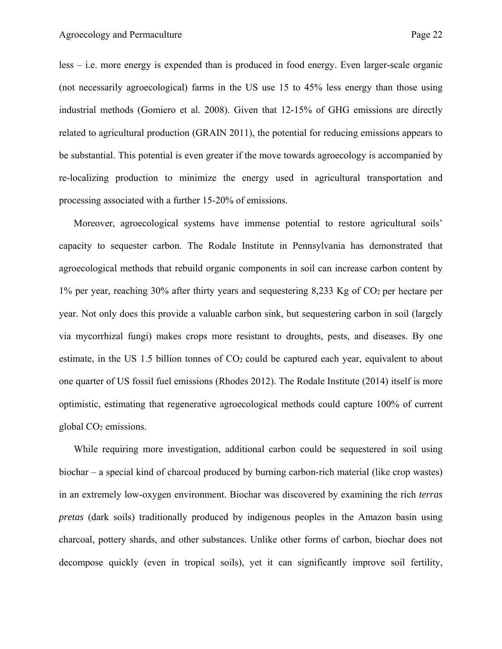less – i.e. more energy is expended than is produced in food energy. Even larger-scale organic (not necessarily agroecological) farms in the US use 15 to 45% less energy than those using industrial methods (Gomiero et al. 2008). Given that 12-15% of GHG emissions are directly related to agricultural production (GRAIN 2011), the potential for reducing emissions appears to be substantial. This potential is even greater if the move towards agroecology is accompanied by re-localizing production to minimize the energy used in agricultural transportation and processing associated with a further 15-20% of emissions.

Moreover, agroecological systems have immense potential to restore agricultural soils' capacity to sequester carbon. The Rodale Institute in Pennsylvania has demonstrated that agroecological methods that rebuild organic components in soil can increase carbon content by 1% per year, reaching 30% after thirty years and sequestering 8,233 Kg of CO2 per hectare per year. Not only does this provide a valuable carbon sink, but sequestering carbon in soil (largely via mycorrhizal fungi) makes crops more resistant to droughts, pests, and diseases. By one estimate, in the US 1.5 billion tonnes of  $CO<sub>2</sub>$  could be captured each year, equivalent to about one quarter of US fossil fuel emissions (Rhodes 2012). The Rodale Institute (2014) itself is more optimistic, estimating that regenerative agroecological methods could capture 100% of current global CO2 emissions.

While requiring more investigation, additional carbon could be sequestered in soil using biochar – a special kind of charcoal produced by burning carbon-rich material (like crop wastes) in an extremely low-oxygen environment. Biochar was discovered by examining the rich *terras pretas* (dark soils) traditionally produced by indigenous peoples in the Amazon basin using charcoal, pottery shards, and other substances. Unlike other forms of carbon, biochar does not decompose quickly (even in tropical soils), yet it can significantly improve soil fertility,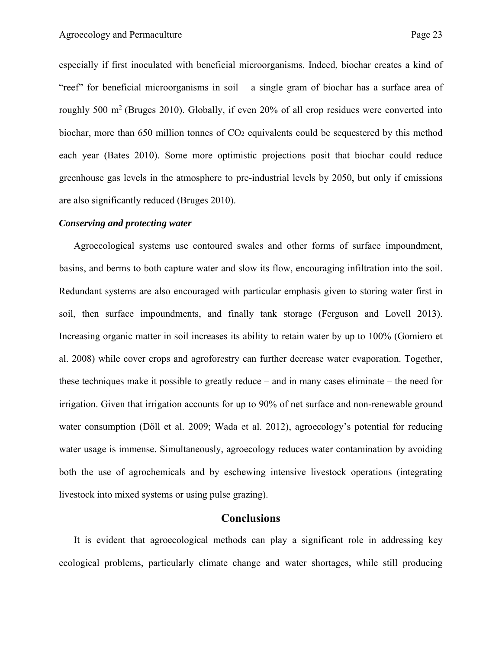especially if first inoculated with beneficial microorganisms. Indeed, biochar creates a kind of "reef" for beneficial microorganisms in soil – a single gram of biochar has a surface area of roughly 500 m<sup>2</sup> (Bruges 2010). Globally, if even 20% of all crop residues were converted into biochar, more than 650 million tonnes of  $CO<sub>2</sub>$  equivalents could be sequestered by this method each year (Bates 2010). Some more optimistic projections posit that biochar could reduce greenhouse gas levels in the atmosphere to pre-industrial levels by 2050, but only if emissions are also significantly reduced (Bruges 2010).

#### *Conserving and protecting water*

Agroecological systems use contoured swales and other forms of surface impoundment, basins, and berms to both capture water and slow its flow, encouraging infiltration into the soil. Redundant systems are also encouraged with particular emphasis given to storing water first in soil, then surface impoundments, and finally tank storage (Ferguson and Lovell 2013). Increasing organic matter in soil increases its ability to retain water by up to 100% (Gomiero et al. 2008) while cover crops and agroforestry can further decrease water evaporation. Together, these techniques make it possible to greatly reduce – and in many cases eliminate – the need for irrigation. Given that irrigation accounts for up to 90% of net surface and non-renewable ground water consumption (Döll et al. 2009; Wada et al. 2012), agroecology's potential for reducing water usage is immense. Simultaneously, agroecology reduces water contamination by avoiding both the use of agrochemicals and by eschewing intensive livestock operations (integrating livestock into mixed systems or using pulse grazing).

## **Conclusions**

It is evident that agroecological methods can play a significant role in addressing key ecological problems, particularly climate change and water shortages, while still producing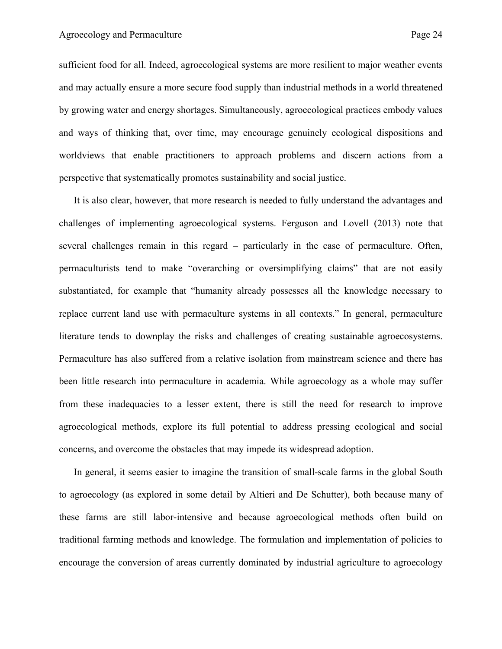sufficient food for all. Indeed, agroecological systems are more resilient to major weather events and may actually ensure a more secure food supply than industrial methods in a world threatened by growing water and energy shortages. Simultaneously, agroecological practices embody values and ways of thinking that, over time, may encourage genuinely ecological dispositions and worldviews that enable practitioners to approach problems and discern actions from a perspective that systematically promotes sustainability and social justice.

It is also clear, however, that more research is needed to fully understand the advantages and challenges of implementing agroecological systems. Ferguson and Lovell (2013) note that several challenges remain in this regard – particularly in the case of permaculture. Often, permaculturists tend to make "overarching or oversimplifying claims" that are not easily substantiated, for example that "humanity already possesses all the knowledge necessary to replace current land use with permaculture systems in all contexts." In general, permaculture literature tends to downplay the risks and challenges of creating sustainable agroecosystems. Permaculture has also suffered from a relative isolation from mainstream science and there has been little research into permaculture in academia. While agroecology as a whole may suffer from these inadequacies to a lesser extent, there is still the need for research to improve agroecological methods, explore its full potential to address pressing ecological and social concerns, and overcome the obstacles that may impede its widespread adoption.

In general, it seems easier to imagine the transition of small-scale farms in the global South to agroecology (as explored in some detail by Altieri and De Schutter), both because many of these farms are still labor-intensive and because agroecological methods often build on traditional farming methods and knowledge. The formulation and implementation of policies to encourage the conversion of areas currently dominated by industrial agriculture to agroecology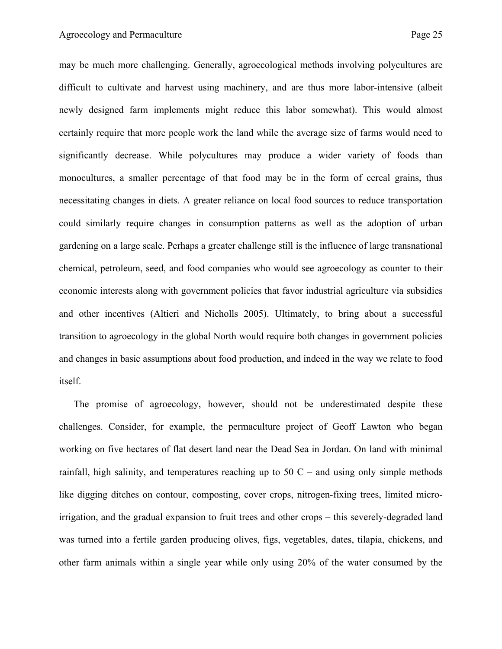may be much more challenging. Generally, agroecological methods involving polycultures are difficult to cultivate and harvest using machinery, and are thus more labor-intensive (albeit newly designed farm implements might reduce this labor somewhat). This would almost certainly require that more people work the land while the average size of farms would need to significantly decrease. While polycultures may produce a wider variety of foods than monocultures, a smaller percentage of that food may be in the form of cereal grains, thus necessitating changes in diets. A greater reliance on local food sources to reduce transportation could similarly require changes in consumption patterns as well as the adoption of urban gardening on a large scale. Perhaps a greater challenge still is the influence of large transnational chemical, petroleum, seed, and food companies who would see agroecology as counter to their economic interests along with government policies that favor industrial agriculture via subsidies and other incentives (Altieri and Nicholls 2005). Ultimately, to bring about a successful transition to agroecology in the global North would require both changes in government policies and changes in basic assumptions about food production, and indeed in the way we relate to food itself.

The promise of agroecology, however, should not be underestimated despite these challenges. Consider, for example, the permaculture project of Geoff Lawton who began working on five hectares of flat desert land near the Dead Sea in Jordan. On land with minimal rainfall, high salinity, and temperatures reaching up to  $50$  C – and using only simple methods like digging ditches on contour, composting, cover crops, nitrogen-fixing trees, limited microirrigation, and the gradual expansion to fruit trees and other crops – this severely-degraded land was turned into a fertile garden producing olives, figs, vegetables, dates, tilapia, chickens, and other farm animals within a single year while only using 20% of the water consumed by the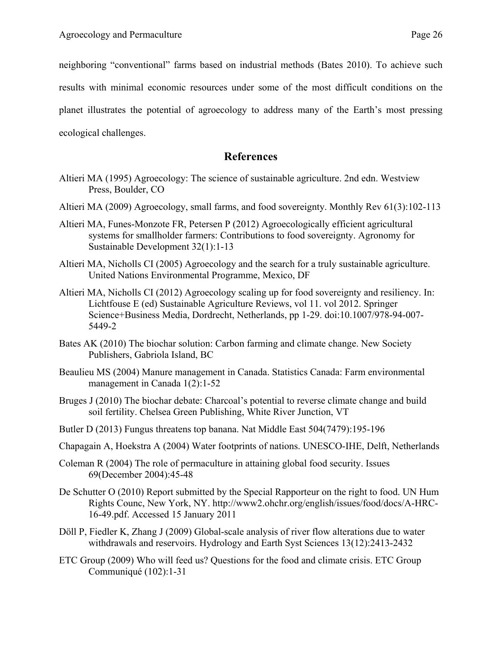neighboring "conventional" farms based on industrial methods (Bates 2010). To achieve such results with minimal economic resources under some of the most difficult conditions on the planet illustrates the potential of agroecology to address many of the Earth's most pressing ecological challenges.

## **References**

- Altieri MA (1995) Agroecology: The science of sustainable agriculture. 2nd edn. Westview Press, Boulder, CO
- Altieri MA (2009) Agroecology, small farms, and food sovereignty. Monthly Rev 61(3):102-113
- Altieri MA, Funes-Monzote FR, Petersen P (2012) Agroecologically efficient agricultural systems for smallholder farmers: Contributions to food sovereignty. Agronomy for Sustainable Development 32(1):1-13
- Altieri MA, Nicholls CI (2005) Agroecology and the search for a truly sustainable agriculture. United Nations Environmental Programme, Mexico, DF
- Altieri MA, Nicholls CI (2012) Agroecology scaling up for food sovereignty and resiliency. In: Lichtfouse E (ed) Sustainable Agriculture Reviews, vol 11. vol 2012. Springer Science+Business Media, Dordrecht, Netherlands, pp 1-29. doi:10.1007/978-94-007- 5449-2
- Bates AK (2010) The biochar solution: Carbon farming and climate change. New Society Publishers, Gabriola Island, BC
- Beaulieu MS (2004) Manure management in Canada. Statistics Canada: Farm environmental management in Canada 1(2):1-52
- Bruges J (2010) The biochar debate: Charcoal's potential to reverse climate change and build soil fertility. Chelsea Green Publishing, White River Junction, VT
- Butler D (2013) Fungus threatens top banana. Nat Middle East 504(7479):195-196
- Chapagain A, Hoekstra A (2004) Water footprints of nations. UNESCO-IHE, Delft, Netherlands
- Coleman R (2004) The role of permaculture in attaining global food security. Issues 69(December 2004):45-48
- De Schutter O (2010) Report submitted by the Special Rapporteur on the right to food. UN Hum Rights Counc, New York, NY. http://www2.ohchr.org/english/issues/food/docs/A-HRC-16-49.pdf. Accessed 15 January 2011
- Döll P, Fiedler K, Zhang J (2009) Global-scale analysis of river flow alterations due to water withdrawals and reservoirs. Hydrology and Earth Syst Sciences 13(12):2413-2432
- ETC Group (2009) Who will feed us? Questions for the food and climate crisis. ETC Group Communiqué (102):1-31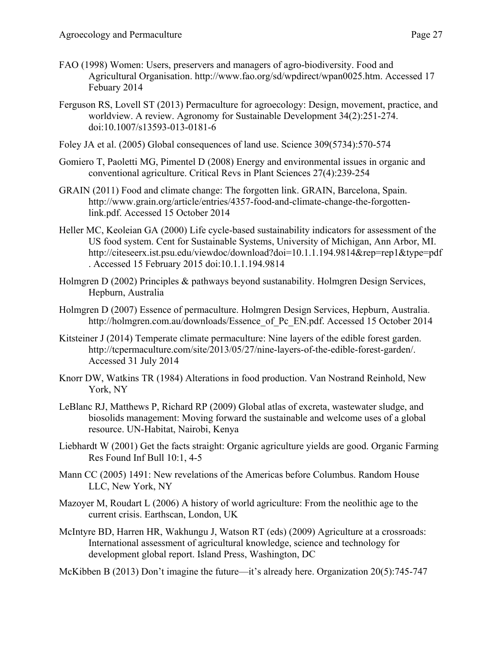- FAO (1998) Women: Users, preservers and managers of agro-biodiversity. Food and Agricultural Organisation. http://www.fao.org/sd/wpdirect/wpan0025.htm. Accessed 17 Febuary 2014
- Ferguson RS, Lovell ST (2013) Permaculture for agroecology: Design, movement, practice, and worldview. A review. Agronomy for Sustainable Development 34(2):251-274. doi:10.1007/s13593-013-0181-6
- Foley JA et al. (2005) Global consequences of land use. Science 309(5734):570-574
- Gomiero T, Paoletti MG, Pimentel D (2008) Energy and environmental issues in organic and conventional agriculture. Critical Revs in Plant Sciences 27(4):239-254
- GRAIN (2011) Food and climate change: The forgotten link. GRAIN, Barcelona, Spain. http://www.grain.org/article/entries/4357-food-and-climate-change-the-forgottenlink.pdf. Accessed 15 October 2014
- Heller MC, Keoleian GA (2000) Life cycle-based sustainability indicators for assessment of the US food system. Cent for Sustainable Systems, University of Michigan, Ann Arbor, MI. http://citeseerx.ist.psu.edu/viewdoc/download?doi=10.1.1.194.9814&rep=rep1&type=pdf . Accessed 15 February 2015 doi:10.1.1.194.9814
- Holmgren D (2002) Principles & pathways beyond sustanability. Holmgren Design Services, Hepburn, Australia
- Holmgren D (2007) Essence of permaculture. Holmgren Design Services, Hepburn, Australia. http://holmgren.com.au/downloads/Essence\_of\_Pc\_EN.pdf. Accessed 15 October 2014
- Kitsteiner J (2014) Temperate climate permaculture: Nine layers of the edible forest garden. http://tcpermaculture.com/site/2013/05/27/nine-layers-of-the-edible-forest-garden/. Accessed 31 July 2014
- Knorr DW, Watkins TR (1984) Alterations in food production. Van Nostrand Reinhold, New York, NY
- LeBlanc RJ, Matthews P, Richard RP (2009) Global atlas of excreta, wastewater sludge, and biosolids management: Moving forward the sustainable and welcome uses of a global resource. UN-Habitat, Nairobi, Kenya
- Liebhardt W (2001) Get the facts straight: Organic agriculture yields are good. Organic Farming Res Found Inf Bull 10:1, 4-5
- Mann CC (2005) 1491: New revelations of the Americas before Columbus. Random House LLC, New York, NY
- Mazoyer M, Roudart L (2006) A history of world agriculture: From the neolithic age to the current crisis. Earthscan, London, UK
- McIntyre BD, Harren HR, Wakhungu J, Watson RT (eds) (2009) Agriculture at a crossroads: International assessment of agricultural knowledge, science and technology for development global report. Island Press, Washington, DC

McKibben B (2013) Don't imagine the future—it's already here. Organization 20(5):745-747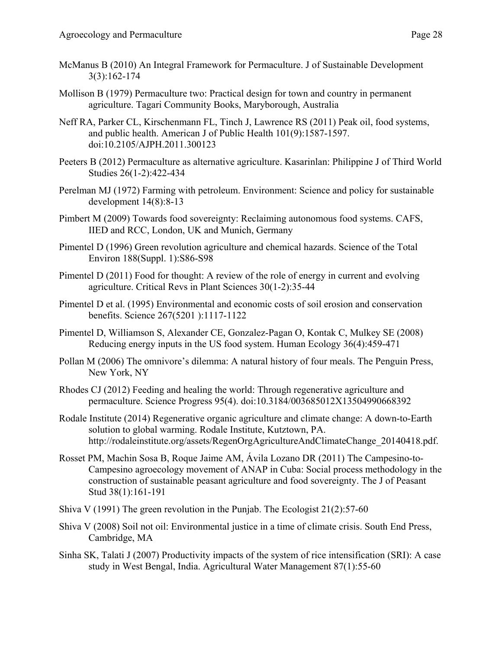- McManus B (2010) An Integral Framework for Permaculture. J of Sustainable Development 3(3):162-174
- Mollison B (1979) Permaculture two: Practical design for town and country in permanent agriculture. Tagari Community Books, Maryborough, Australia
- Neff RA, Parker CL, Kirschenmann FL, Tinch J, Lawrence RS (2011) Peak oil, food systems, and public health. American J of Public Health 101(9):1587-1597. doi:10.2105/AJPH.2011.300123
- Peeters B (2012) Permaculture as alternative agriculture. Kasarinlan: Philippine J of Third World Studies 26(1-2):422-434
- Perelman MJ (1972) Farming with petroleum. Environment: Science and policy for sustainable development 14(8):8-13
- Pimbert M (2009) Towards food sovereignty: Reclaiming autonomous food systems. CAFS, IIED and RCC, London, UK and Munich, Germany
- Pimentel D (1996) Green revolution agriculture and chemical hazards. Science of the Total Environ 188(Suppl. 1):S86-S98
- Pimentel D (2011) Food for thought: A review of the role of energy in current and evolving agriculture. Critical Revs in Plant Sciences 30(1-2):35-44
- Pimentel D et al. (1995) Environmental and economic costs of soil erosion and conservation benefits. Science 267(5201 ):1117-1122
- Pimentel D, Williamson S, Alexander CE, Gonzalez-Pagan O, Kontak C, Mulkey SE (2008) Reducing energy inputs in the US food system. Human Ecology 36(4):459-471
- Pollan M (2006) The omnivore's dilemma: A natural history of four meals. The Penguin Press, New York, NY
- Rhodes CJ (2012) Feeding and healing the world: Through regenerative agriculture and permaculture. Science Progress 95(4). doi:10.3184/003685012X13504990668392
- Rodale Institute (2014) Regenerative organic agriculture and climate change: A down-to-Earth solution to global warming. Rodale Institute, Kutztown, PA. http://rodaleinstitute.org/assets/RegenOrgAgricultureAndClimateChange\_20140418.pdf.
- Rosset PM, Machin Sosa B, Roque Jaime AM, Ávila Lozano DR (2011) The Campesino-to-Campesino agroecology movement of ANAP in Cuba: Social process methodology in the construction of sustainable peasant agriculture and food sovereignty. The J of Peasant Stud 38(1):161-191
- Shiva V (1991) The green revolution in the Punjab. The Ecologist 21(2):57-60
- Shiva V (2008) Soil not oil: Environmental justice in a time of climate crisis. South End Press, Cambridge, MA
- Sinha SK, Talati J (2007) Productivity impacts of the system of rice intensification (SRI): A case study in West Bengal, India. Agricultural Water Management 87(1):55-60